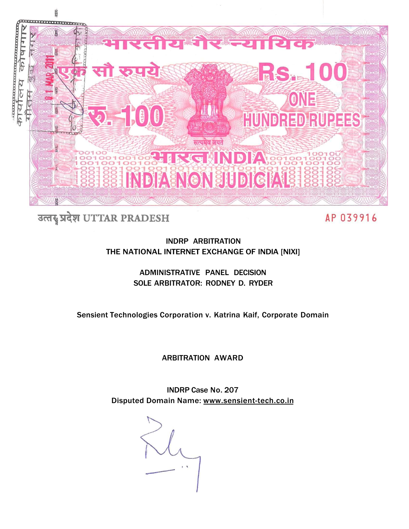

# उत्तर प्रदेश UTTAR PRADESH

AP 039916

INDRP ARBITRATION THE NATIONAL INTERNET EXCHANGE OF INDIA [NIXI]

> ADMINISTRATIVE PANEL DECISION SOLE ARBITRATOR: RODNEY D. RYDER

Sensient Technologies Corporation v. Katrina Kaif, Corporate Domain

ARBITRATION AWARD

INDRP Case No. 207 Disputed Domain Name: [www.sensient-tech.co.in](http://www.sensient-tech.co.in)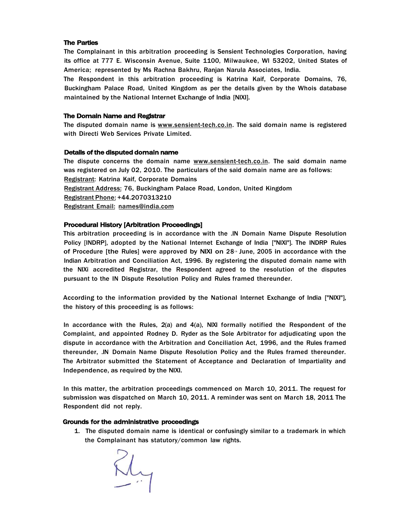## **The Parties**

The Complainant in this arbitration proceeding is Sensient Technologies Corporation, having its office at 777 E. Wisconsin Avenue, Suite 1100, Milwaukee, Wl 53202, United States of America; represented by Ms Rachna Bakhru, Ranjan Narula Associates, India.

The Respondent in this arbitration proceeding is Katrina Kaif, Corporate Domains, 76, Buckingham Palace Road, United Kingdom as per the details given by the Whois database maintained by the National Internet Exchange of India [NIXI].

## **The Domain Name and Registrar**

The disputed domain name is [www.sensient-tech.co.in.](http://www.sensient-tech.co.in) The said domain name is registered with Directi Web Services Private Limited.

## **Details of the disputed domain name**

The dispute concerns the domain name [www.sensient-tech.co.in.](http://www.sensient-tech.co.in) The said domain name was registered on July 02, 2010. The particulars of the said domain name are as follows: Registrant: Katrina Kaif, Corporate Domains Registrant Address: 76, Buckingham Palace Road, London, United Kingdom Registrant Phone: +44.2070313210 Registrant Email: [names@india.com](mailto:names@india.com)

# **Procedural History [Arbitration Proceedings]**

This arbitration proceeding is in accordance with the .IN Domain Name Dispute Resolution Policy [INDRP], adopted by the National Internet Exchange of India ["NIXI"]. The INDRP Rules of Procedure [the Rules] were approved by NIXI on 28<sup>th</sup> June, 2005 in accordance with the Indian Arbitration and Conciliation Act, 1996. By registering the disputed domain name with the NIXi accredited Registrar, the Respondent agreed to the resolution of the disputes pursuant to the IN Dispute Resolution Policy and Rules framed thereunder.

According to the information provided by the National Internet Exchange of India ["NIXI"], the history of this proceeding is as follows:

In accordance with the Rules,  $2(a)$  and  $4(a)$ , NIXI formally notified the Respondent of the Complaint, and appointed Rodney D. Ryder as the Sole Arbitrator for adjudicating upon the dispute in accordance with the Arbitration and Conciliation Act, 1996, and the Rules framed thereunder, .IN Domain Name Dispute Resolution Policy and the Rules framed thereunder. The Arbitrator submitted the Statement of Acceptance and Declaration of Impartiality and Independence, as required by the NIXI.

In this matter, the arbitration proceedings commenced on March 10, 2011. The request for submission was dispatched on March 10, 2011. A reminder was sent on March 18, 2011 The Respondent did not reply.

## **Grounds for the administrative proceedings**

1. The disputed domain name is identical or confusingly similar to a trademark in which the Complainant has statutory/common law rights.

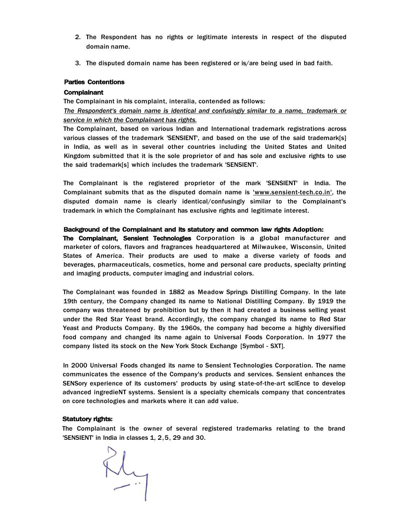- 2. The Respondent has no rights or legitimate interests in respect of the disputed domain name.
- 3. The disputed domain name has been registered or is/are being used in bad faith.

# **Parties Contentions**

# **Complainant**

The Complainant in his complaint, interalia, contended as follows: *The Respondent's domain name is identical and confusingly similar to a name, trademark or service in which the Complainant has rights.* 

The Complainant, based on various Indian and International trademark registrations across various classes of the trademark 'SENSIENT', and based on the use of the said trademark[s] in India, as well as in several other countries including the United States and United Kingdom submitted that it is the sole proprietor of and has sole and exclusive rights to use the said trademark[s] which includes the trademark 'SENSIENT'.

The Complainant is the registered proprietor of the mark 'SENSIENT' in India. The Complainant submits that as the disputed domain name is ['www.sensient-tech.co.in',](http://) the disputed domain name is clearly identical/confusingly similar to the Complainant's trademark in which the Complainant has exclusive rights and legitimate interest.

# **Background of the Complainant and its statutory and common law rights Adoption:**

**The Complainant, Sensient Technologies** Corporation is a global manufacturer and marketer of colors, flavors and fragrances headquartered at Milwaukee, Wisconsin, United States of America. Their products are used to make a diverse variety of foods and beverages, pharmaceuticals, cosmetics, home and personal care products, specialty printing and imaging products, computer imaging and industrial colors.

The Complainant was founded in 1882 as Meadow Springs Distilling Company. In the late 19th century, the Company changed its name to National Distilling Company. By 1919 the company was threatened by prohibition but by then it had created a business selling yeast under the Red Star Yeast brand. Accordingly, the company changed its name to Red Star Yeast and Products Company. By the 1960s, the company had become a highly diversified food company and changed its name again to Universal Foods Corporation. In 1977 the company listed its stock on the New York Stock Exchange [Symbol - SXT].

In 2000 Universal Foods changed its name to Sensient Technologies Corporation. The name communicates the essence of the Company's products and services. Sensient enhances the SENSory experience of its customers' products by using state-of-the-art sclEnce to develop advanced ingredieNT systems. Sensient is a specialty chemicals company that concentrates on core technologies and markets where it can add value.

# **Statutory rights:**

The Complainant is the owner of several registered trademarks relating to the brand 'SENSIENT' in India in classes 1, 2,5, 29 and 30.

Rly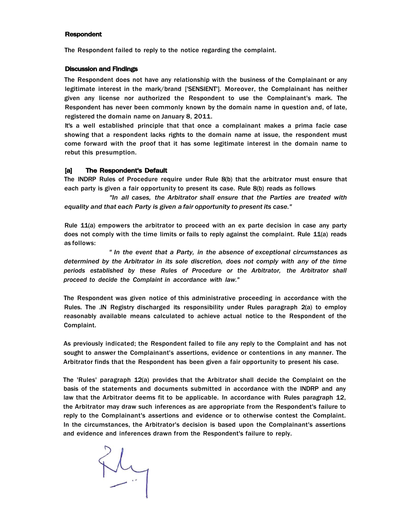#### **Respondent**

The Respondent failed to reply to the notice regarding the complaint.

#### **Discussion and Findings**

The Respondent does not have any relationship with the business of the Complainant or any legitimate interest in the mark/brand ['SENSIENT']. Moreover, the Complainant has neither given any license nor authorized the Respondent to use the Complainant's mark. The Respondent has never been commonly known by the domain name in question and, of late, registered the domain name on January 8, 2011.

It's a well established principle that that once a complainant makes a prima facie case showing that a respondent lacks rights to the domain name at issue, the respondent must come forward with the proof that it has some legitimate interest in the domain name to rebut this presumption.

#### **[a] The Respondent's Default**

The INDRP Rules of Procedure require under Rule 8(b) that the arbitrator must ensure that each party is given a fair opportunity to present its case. Rule 8(b) reads as follows

*"In all cases, the Arbitrator shall ensure that the Parties are treated with equality and that each Party is given a fair opportunity to present its case."* 

Rule 11(a) empowers the arbitrator to proceed with an ex parte decision in case any party does not comply with the time limits or fails to reply against the complaint. Rule 11(a) reads as follows:

*" In the event that a Party, in the absence of exceptional circumstances as determined by the Arbitrator in its sole discretion, does not comply with any of the time periods established by these Rules of Procedure or the Arbitrator, the Arbitrator shall proceed to decide the Complaint in accordance with law."* 

The Respondent was given notice of this administrative proceeding in accordance with the Rules. The .IN Registry discharged its responsibility under Rules paragraph 2(a) to employ reasonably available means calculated to achieve actual notice to the Respondent of the Complaint.

As previously indicated; the Respondent failed to file any reply to the Complaint and has not sought to answer the Complainant's assertions, evidence or contentions in any manner. The Arbitrator finds that the Respondent has been given a fair opportunity to present his case.

The 'Rules' paragraph 12(a) provides that the Arbitrator shall decide the Complaint on the basis of the statements and documents submitted in accordance with the INDRP and any law that the Arbitrator deems fit to be applicable. In accordance with Rules paragraph 12, the Arbitrator may draw such inferences as are appropriate from the Respondent's failure to reply to the Complainant's assertions and evidence or to otherwise contest the Complaint. In the circumstances, the Arbitrator's decision is based upon the Complainant's assertions and evidence and inferences drawn from the Respondent's failure to reply.

Rly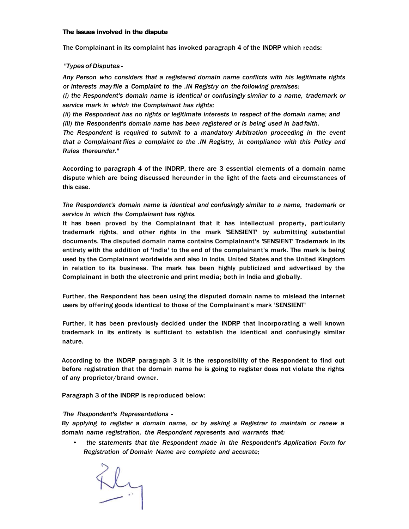## **The issues involved in the dispute**

The Complainant in its complaint has invoked paragraph 4 of the INDRP which reads:

# *"Types of Disputes -*

*Any Person who considers that a registered domain name conflicts with his legitimate rights or interests may file a Complaint to the .IN Registry on the following premises:* 

*(i) the Respondent's domain name is identical or confusingly similar to a name, trademark or service mark in which the Complainant has rights;* 

*(ii) the Respondent has no rights or legitimate interests in respect of the domain name; and (iii) the Respondent's domain name has been registered or is being used in bad faith.* 

*The Respondent is required to submit to a mandatory Arbitration proceeding in the event that a Complainant files a complaint to the .IN Registry, in compliance with this Policy and Rules thereunder."* 

According to paragraph 4 of the INDRP, there are 3 essential elements of a domain name dispute which are being discussed hereunder in the light of the facts and circumstances of this case.

# *The Respondent's domain name is identical and confusingly similar to a name, trademark or service in which the Complainant has rights.*

It has been proved by the Complainant that it has intellectual property, particularly trademark rights, and other rights in the mark 'SENSIENT' by submitting substantial documents. The disputed domain name contains Complainant's 'SENSIENT' Trademark in its entirety with the addition of 'India' to the end of the complainant's mark. The mark is being used by the Complainant worldwide and also in India, United States and the United Kingdom in relation to its business. The mark has been highly publicized and advertised by the Complainant in both the electronic and print media; both in India and globally.

Further, the Respondent has been using the disputed domain name to mislead the internet users by offering goods identical to those of the Complainant's mark 'SENSIENT'

Further, it has been previously decided under the INDRP that incorporating a well known trademark in its entirety is sufficient to establish the identical and confusingly similar nature.

According to the INDRP paragraph 3 it is the responsibility of the Respondent to find out before registration that the domain name he is going to register does not violate the rights of any proprietor/brand owner.

Paragraph 3 of the INDRP is reproduced below:

## *'The Respondent's Representations -*

*By applying to register a domain name, or by asking a Registrar to maintain or renew a domain name registration, the Respondent represents and warrants that:* 

*• the statements that the Respondent made in the Respondent's Application Form for Registration of Domain Name are complete and accurate;* 

Fly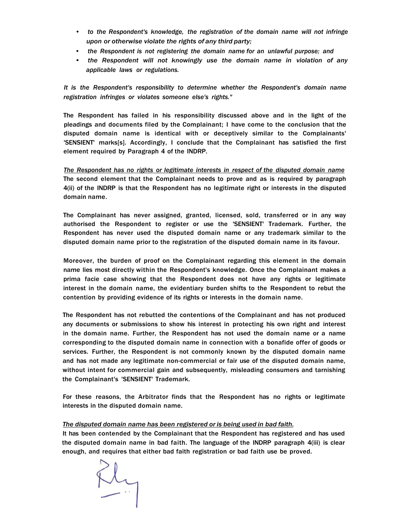- *to the Respondent's knowledge, the registration of the domain name will not infringe upon or otherwise violate the rights of any third party;*
- *the Respondent is not registering the domain name for an unlawful purpose; and*
- *the Respondent will not knowingly use the domain name in violation of any applicable laws or regulations.*

*It is the Respondent's responsibility to determine whether the Respondent's domain name registration infringes or violates someone else's rights."* 

The Respondent has failed in his responsibility discussed above and in the light of the pleadings and documents filed by the Complainant; I have come to the conclusion that the disputed domain name is identical with or deceptively similar to the Complainants' 'SENSIENT' marks[s]. Accordingly, I conclude that the Complainant has satisfied the first element required by Paragraph 4 of the INDRP.

*The Respondent has no rights or legitimate interests in respect of the disputed domain name*  The second element that the Complainant needs to prove and as is required by paragraph 4(ii) of the INDRP is that the Respondent has no legitimate right or interests in the disputed domain name.

The Complainant has never assigned, granted, licensed, sold, transferred or in any way authorised the Respondent to register or use the 'SENSIENT' Trademark. Further, the Respondent has never used the disputed domain name or any trademark similar to the disputed domain name prior to the registration of the disputed domain name in its favour.

Moreover, the burden of proof on the Complainant regarding this element in the domain name lies most directly within the Respondent's knowledge. Once the Complainant makes a prima facie case showing that the Respondent does not have any rights or legitimate interest in the domain name, the evidentiary burden shifts to the Respondent to rebut the contention by providing evidence of its rights or interests in the domain name.

The Respondent has not rebutted the contentions of the Complainant and has not produced any documents or submissions to show his interest in protecting his own right and interest in the domain name. Further, the Respondent has not used the domain name or a name corresponding to the disputed domain name in connection with a bonafide offer of goods or services. Further, the Respondent is not commonly known by the disputed domain name and has not made any legitimate non-commercial or fair use of the disputed domain name, without intent for commercial gain and subsequently, misleading consumers and tarnishing the Complainant's 'SENSIENT' Trademark.

For these reasons, the Arbitrator finds that the Respondent has no rights or legitimate interests in the disputed domain name.

# *The disputed domain name has been registered or is being used in bad faith.*

It has been contended by the Complainant that the Respondent has registered and has used the disputed domain name in bad faith. The language of the INDRP paragraph 4(iii) is clear enough, and requires that either bad faith registration or bad faith use be proved.

Ry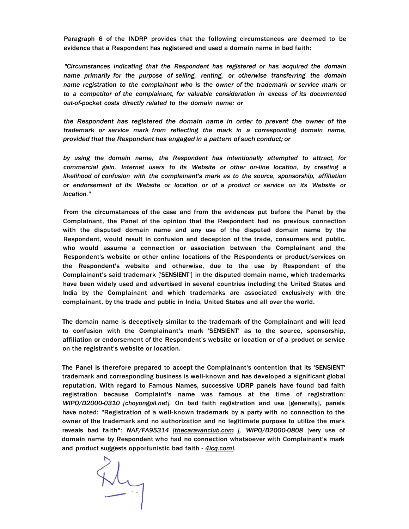Paragraph 6 of the INDRP provides that the following circumstances are deemed to be evidence that a Respondent has registered and used a domain name in bad faith:

*"Circumstances indicating that the Respondent has registered or has acquired the domain name primarily for the purpose of selling, renting, or otherwise transferring the domain name registration to the complainant who is the owner of the trademark or service mark or to a competitor of the complainant, for valuable consideration in excess of its documented out-of-pocket costs directly related to the domain name; or* 

*the Respondent has registered the domain name in order to prevent the owner of the trademark or service mark from reflecting the mark in a corresponding domain name, provided that the Respondent has engaged in a pattern of such conduct; or* 

*by using the domain name, the Respondent has intentionally attempted to attract, for commercial gain, Internet users to its Website or other on-line location, by creating a likelihood of confusion with the complainant's mark as to the source, sponsorship, affiliation or endorsement of its Website or location or of a product or service on its Website or location."* 

From the circumstances of the case and from the evidences put before the Panel by the Complainant, the Panel of the opinion that the Respondent had no previous connection with the disputed domain name and any use of the disputed domain name by the Respondent, would result in confusion and deception of the trade, consumers and public, who would assume a connection or association between the Complainant and the Respondent's website or other online locations of the Respondents or product/services on the Respondent's website and otherwise, due to the use by Respondent of the Complainant's said trademark ['SENSIENT'] in the disputed domain name, which trademarks have been widely used and advertised in several countries including the United States and India by the Complainant and which trademarks are associated exclusively with the complainant, by the trade and public in India, United States and all over the world.

The domain name is deceptively similar to the trademark of the Complainant and will lead to confusion with the Complainant's mark 'SENSIENT' as to the source, sponsorship, affiliation or endorsement of the Respondent's website or location or of a product or service on the registrant's website or location.

The Panel is therefore prepared to accept the Complainant's contention that its 'SENSIENT' trademark and corresponding business is well-known and has developed a significant global reputation. With regard to Famous Names, successive UDRP panels have found bad faith registration because Complaint's name was famous at the time of registration: *WIPO/D2000-0310 [[choyongpil.net\].](http://choyongpil.net)* On bad faith registration and use [generally], panels have noted: "Registration of a well-known trademark by a party with no connection to the owner of the trademark and no authorization and no legitimate purpose to utilize the mark reveals bad faith": *NAF/FA95314 [[thecaravanclub.com \]](http://thecaravanclub.com), WIPO/D2000-0808* [very use of domain name by Respondent who had no connection whatsoever with Complainant's mark and product suggests opportunistic bad faith - *[4icq.com\].](http://4icq.com)* 

Ry